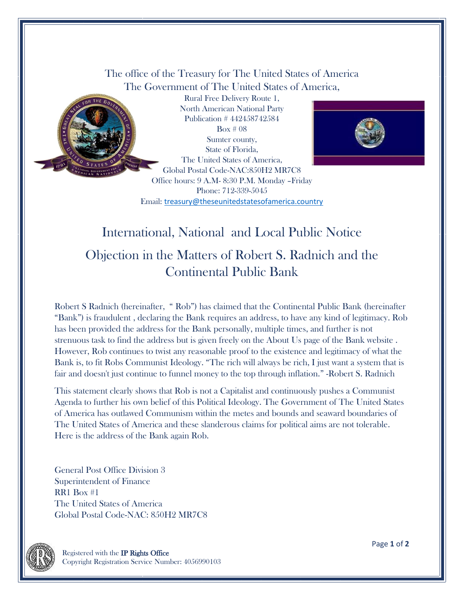The office of the Treasury for The United States of America The Government of The United States of America,



Rural Free Delivery Route 1, North American National Party Publication # 442458742584 Box # 08 Sumter county, State of Florida, The United States of America, Global Postal Code-NAC:850H2 MR7C8 Office hours: 9 A.M- 8:30 P.M. Monday –Friday Phone: 712-339-5045 Email: [treasury@theseunitedstatesofamerica.country](mailto:treasury@theseunitedstatesofamerica.country)



## International, National and Local Public Notice

## Objection in the Matters of Robert S. Radnich and the Continental Public Bank

Robert S Radnich (hereinafter, " Rob") has claimed that the Continental Public Bank (hereinafter "Bank") is fraudulent , declaring the Bank requires an address, to have any kind of legitimacy. Rob has been provided the address for the Bank personally, multiple times, and further is not strenuous task to find the address but is given freely on the About Us page of the Bank website . However, Rob continues to twist any reasonable proof to the existence and legitimacy of what the Bank is, to fit Robs Communist Ideology. "The rich will always be rich, I just want a system that is fair and doesn't just continue to funnel money to the top through inflation." -Robert S. Radnich

This statement clearly shows that Rob is not a Capitalist and continuously pushes a Communist Agenda to further his own belief of this Political Ideology. The Government of The United States of America has outlawed Communism within the metes and bounds and seaward boundaries of The United States of America and these slanderous claims for political aims are not tolerable. Here is the address of the Bank again Rob.

General Post Office Division 3 Superintendent of Finance RR1 Box #1 The United States of America Global Postal Code-NAC: 850H2 MR7C8